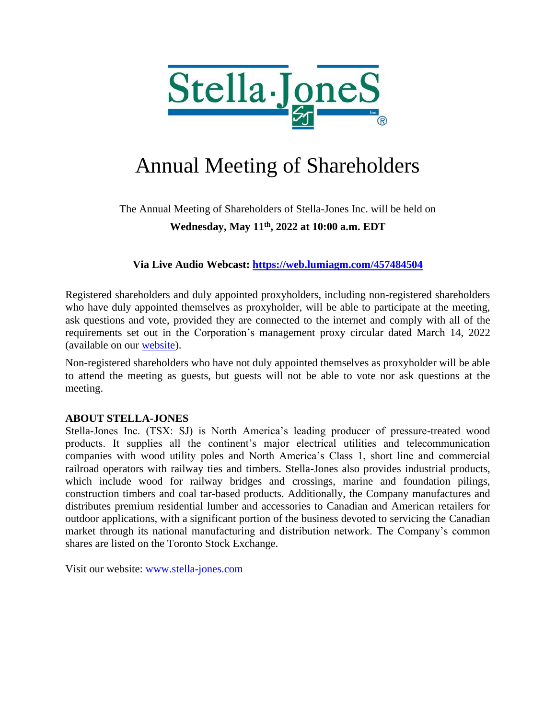

# Annual Meeting of Shareholders

### The Annual Meeting of Shareholders of Stella-Jones Inc. will be held on **Wednesday, May 11th, 2022 at 10:00 a.m. EDT**

**Via Live Audio Webcast:<https://web.lumiagm.com/457484504>**

Registered shareholders and duly appointed proxyholders, including non-registered shareholders who have duly appointed themselves as proxyholder, will be able to participate at the meeting, ask questions and vote, provided they are connected to the internet and comply with all of the requirements set out in the Corporation's management proxy circular dated March 14, 2022 (available on our [website\)](https://www.stella-jones.com/en-CA/investor-relations/annual-information-forms-management-proxy-circulars).

Non-registered shareholders who have not duly appointed themselves as proxyholder will be able to attend the meeting as guests, but guests will not be able to vote nor ask questions at the meeting.

### **ABOUT STELLA-JONES**

Stella-Jones Inc. (TSX: SJ) is North America's leading producer of pressure-treated wood products. It supplies all the continent's major electrical utilities and telecommunication companies with wood utility poles and North America's Class 1, short line and commercial railroad operators with railway ties and timbers. Stella-Jones also provides industrial products, which include wood for railway bridges and crossings, marine and foundation pilings, construction timbers and coal tar-based products. Additionally, the Company manufactures and distributes premium residential lumber and accessories to Canadian and American retailers for outdoor applications, with a significant portion of the business devoted to servicing the Canadian market through its national manufacturing and distribution network. The Company's common shares are listed on the Toronto Stock Exchange.

Visit our website: [www.stella-jones.com](http://www.stella-jones.com/)